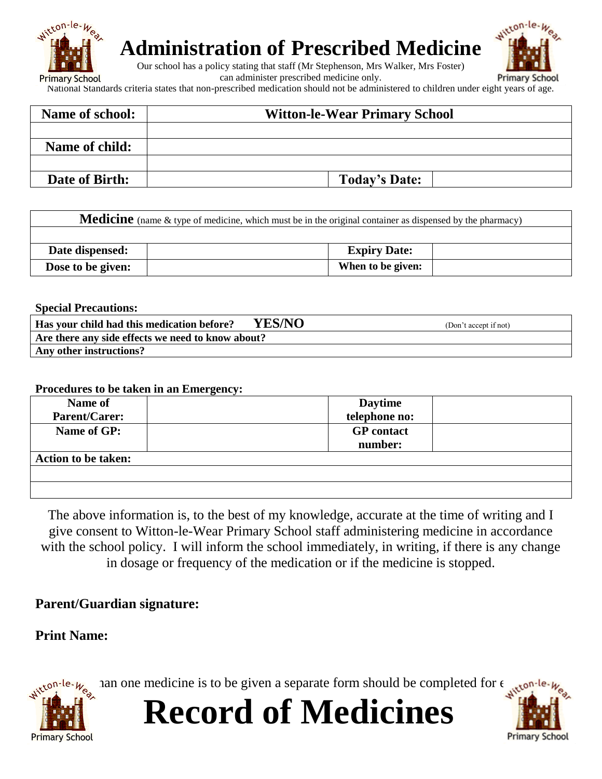

# **Administration of Prescribed Medicine**

Our school has a policy stating that staff (Mr Stephenson, Mrs Walker, Mrs Foster)

can administer prescribed medicine only.



National Standards criteria states that non-prescribed medication should not be administered to children under eight years of age.

| Name of school: | <b>Witton-le-Wear Primary School</b> |  |  |
|-----------------|--------------------------------------|--|--|
|                 |                                      |  |  |
| Name of child:  |                                      |  |  |
|                 |                                      |  |  |
| Date of Birth:  | <b>Today's Date:</b>                 |  |  |

| <b>Medicine</b> (name & type of medicine, which must be in the original container as dispensed by the pharmacy) |  |                     |  |  |  |
|-----------------------------------------------------------------------------------------------------------------|--|---------------------|--|--|--|
|                                                                                                                 |  |                     |  |  |  |
| Date dispensed:                                                                                                 |  | <b>Expiry Date:</b> |  |  |  |
| Dose to be given:                                                                                               |  | When to be given:   |  |  |  |

**Special Precautions:**

| YES/NO<br>Has your child had this medication before? | (Don't accept if not) |  |  |  |  |
|------------------------------------------------------|-----------------------|--|--|--|--|
| Are there any side effects we need to know about?    |                       |  |  |  |  |
| Any other instructions?                              |                       |  |  |  |  |

#### **Procedures to be taken in an Emergency:**

| Name of                    | <b>Daytime</b>    |
|----------------------------|-------------------|
| <b>Parent/Carer:</b>       | telephone no:     |
| Name of GP:                | <b>GP</b> contact |
|                            | number:           |
| <b>Action to be taken:</b> |                   |
|                            |                   |
|                            |                   |
|                            |                   |

The above information is, to the best of my knowledge, accurate at the time of writing and I give consent to Witton-le-Wear Primary School staff administering medicine in accordance with the school policy. I will inform the school immediately, in writing, if there is any change in dosage or frequency of the medication or if the medicine is stopped.

### **Parent/Guardian signature:**

### **Print Name:**